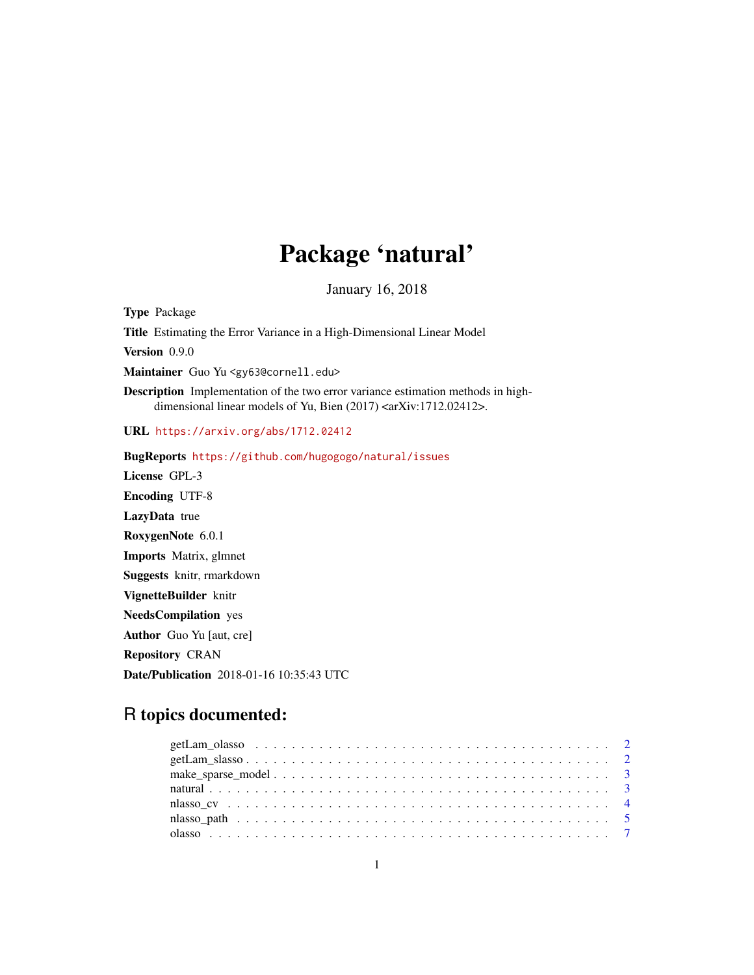# Package 'natural'

January 16, 2018

Type Package Title Estimating the Error Variance in a High-Dimensional Linear Model Version 0.9.0 Maintainer Guo Yu <gy63@cornell.edu> Description Implementation of the two error variance estimation methods in highdimensional linear models of Yu, Bien (2017) <arXiv:1712.02412>. URL <https://arxiv.org/abs/1712.02412> BugReports <https://github.com/hugogogo/natural/issues> License GPL-3 Encoding UTF-8 LazyData true RoxygenNote 6.0.1 Imports Matrix, glmnet Suggests knitr, rmarkdown VignetteBuilder knitr NeedsCompilation yes

Author Guo Yu [aut, cre]

Repository CRAN

Date/Publication 2018-01-16 10:35:43 UTC

# R topics documented: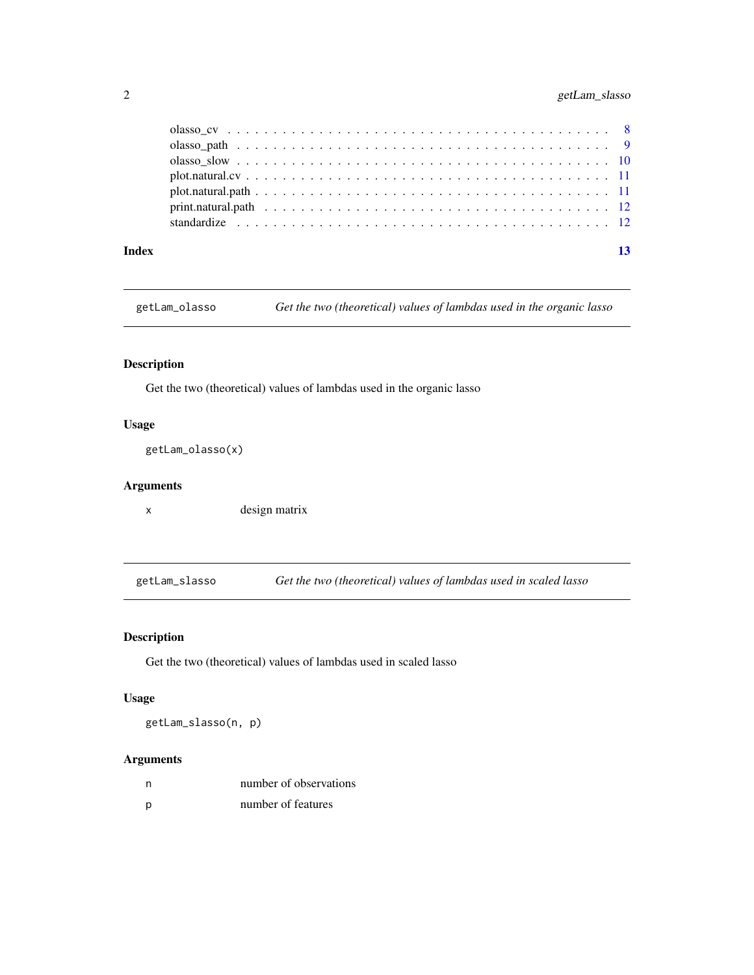# <span id="page-1-0"></span>2 getLam\_slasso

| Index | 13 |
|-------|----|

getLam\_olasso *Get the two (theoretical) values of lambdas used in the organic lasso*

# Description

Get the two (theoretical) values of lambdas used in the organic lasso

# Usage

getLam\_olasso(x)

# Arguments

x design matrix

getLam\_slasso *Get the two (theoretical) values of lambdas used in scaled lasso*

# Description

Get the two (theoretical) values of lambdas used in scaled lasso

# Usage

getLam\_slasso(n, p)

| n | number of observations |
|---|------------------------|
| D | number of features     |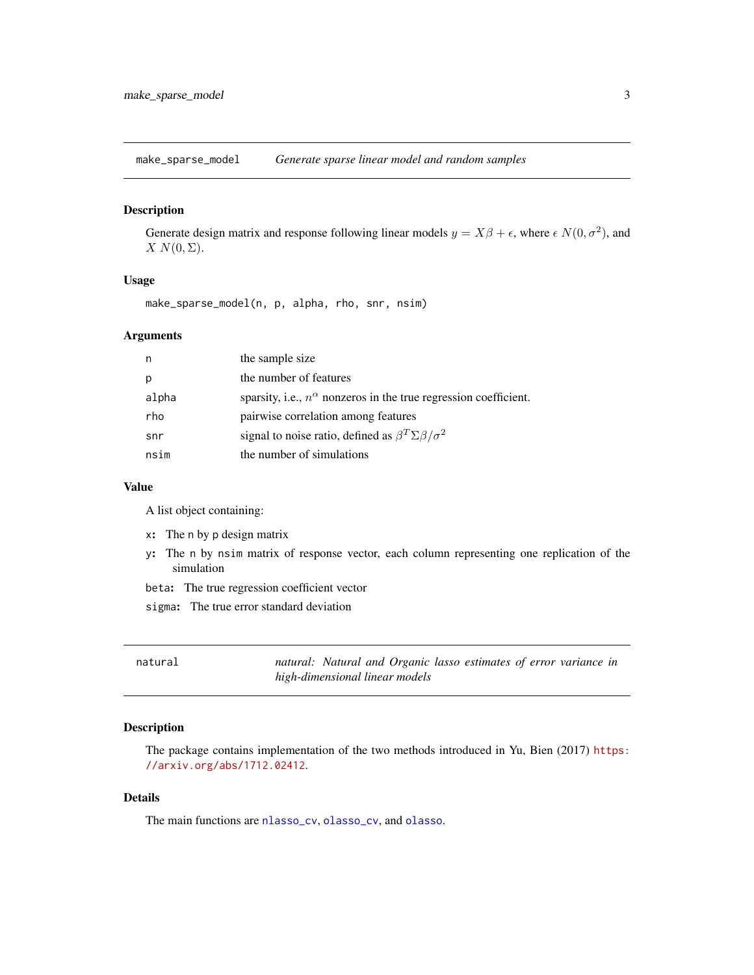<span id="page-2-0"></span>make\_sparse\_model *Generate sparse linear model and random samples*

# Description

Generate design matrix and response following linear models  $y = X\beta + \epsilon$ , where  $\epsilon N(0, \sigma^2)$ , and  $X N(0, \Sigma)$ .

#### Usage

make\_sparse\_model(n, p, alpha, rho, snr, nsim)

#### Arguments

| n     | the sample size                                                           |
|-------|---------------------------------------------------------------------------|
| p     | the number of features                                                    |
| alpha | sparsity, i.e., $n^{\alpha}$ nonzeros in the true regression coefficient. |
| rho   | pairwise correlation among features                                       |
| snr   | signal to noise ratio, defined as $\beta^T \Sigma \beta / \sigma^2$       |
| nsim  | the number of simulations                                                 |

#### Value

A list object containing:

- x: The n by p design matrix
- y: The n by nsim matrix of response vector, each column representing one replication of the simulation
- beta: The true regression coefficient vector
- sigma: The true error standard deviation

| natural |                                |  | natural: Natural and Organic lasso estimates of error variance in |  |  |
|---------|--------------------------------|--|-------------------------------------------------------------------|--|--|
|         | high-dimensional linear models |  |                                                                   |  |  |

#### Description

The package contains implementation of the two methods introduced in Yu, Bien (2017) [https:](https://arxiv.org/abs/1712.02412) [//arxiv.org/abs/1712.02412](https://arxiv.org/abs/1712.02412).

#### Details

The main functions are [nlasso\\_cv](#page-3-1), [olasso\\_cv](#page-7-1), and [olasso](#page-6-1).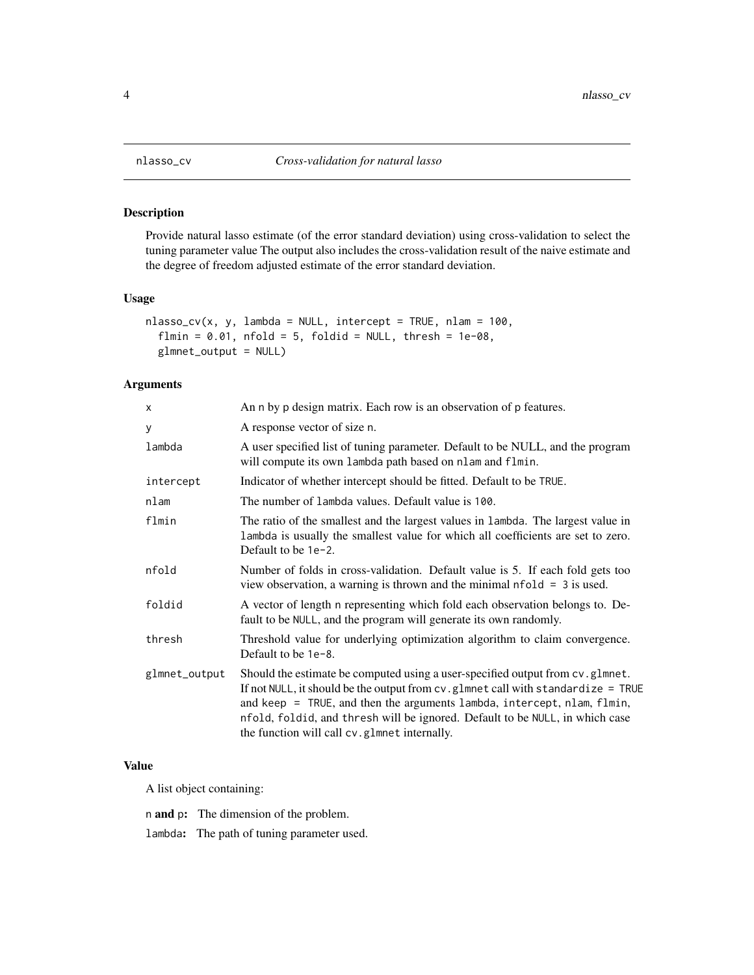<span id="page-3-1"></span><span id="page-3-0"></span>

# Description

Provide natural lasso estimate (of the error standard deviation) using cross-validation to select the tuning parameter value The output also includes the cross-validation result of the naive estimate and the degree of freedom adjusted estimate of the error standard deviation.

# Usage

```
nlasso_cv(x, y, lambda = NULL, intercept = TRUE, nlam = 100,
  flmin = 0.01, nfold = 5, foldid = NULL, thresh = 1e-08,
  glmnet_output = NULL)
```
#### Arguments

| x             | An n by p design matrix. Each row is an observation of p features.                                                                                                                                                                                                                                                                                                           |
|---------------|------------------------------------------------------------------------------------------------------------------------------------------------------------------------------------------------------------------------------------------------------------------------------------------------------------------------------------------------------------------------------|
| У             | A response vector of size n.                                                                                                                                                                                                                                                                                                                                                 |
| lambda        | A user specified list of tuning parameter. Default to be NULL, and the program<br>will compute its own lambda path based on nlam and flmin.                                                                                                                                                                                                                                  |
| intercept     | Indicator of whether intercept should be fitted. Default to be TRUE.                                                                                                                                                                                                                                                                                                         |
| nlam          | The number of lambda values. Default value is 100.                                                                                                                                                                                                                                                                                                                           |
| flmin         | The ratio of the smallest and the largest values in lambda. The largest value in<br>lambda is usually the smallest value for which all coefficients are set to zero.<br>Default to be 1e-2.                                                                                                                                                                                  |
| nfold         | Number of folds in cross-validation. Default value is 5. If each fold gets too<br>view observation, a warning is thrown and the minimal $nfold = 3$ is used.                                                                                                                                                                                                                 |
| foldid        | A vector of length n representing which fold each observation belongs to. De-<br>fault to be NULL, and the program will generate its own randomly.                                                                                                                                                                                                                           |
| thresh        | Threshold value for underlying optimization algorithm to claim convergence.<br>Default to be 1e-8.                                                                                                                                                                                                                                                                           |
| glmnet_output | Should the estimate be computed using a user-specified output from cv.glmnet.<br>If not NULL, it should be the output from cv.glmnet call with standardize = TRUE<br>and keep = TRUE, and then the arguments lambda, intercept, nlam, flmin,<br>nfold, foldid, and thresh will be ignored. Default to be NULL, in which case<br>the function will call cv.glmnet internally. |

### Value

A list object containing:

n and p: The dimension of the problem.

lambda: The path of tuning parameter used.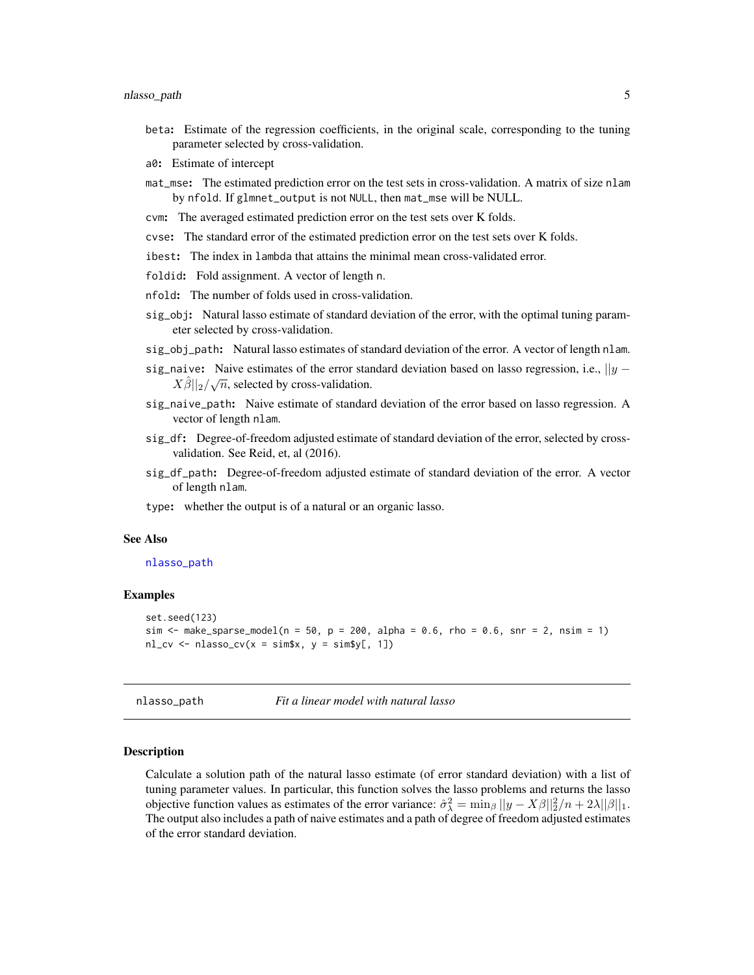- <span id="page-4-0"></span>beta: Estimate of the regression coefficients, in the original scale, corresponding to the tuning parameter selected by cross-validation.
- a0: Estimate of intercept
- mat\_mse: The estimated prediction error on the test sets in cross-validation. A matrix of size nlam by nfold. If glmnet\_output is not NULL, then mat\_mse will be NULL.
- cvm: The averaged estimated prediction error on the test sets over K folds.
- cvse: The standard error of the estimated prediction error on the test sets over K folds.
- ibest: The index in lambda that attains the minimal mean cross-validated error.
- foldid: Fold assignment. A vector of length n.
- nfold: The number of folds used in cross-validation.
- sig\_obj: Natural lasso estimate of standard deviation of the error, with the optimal tuning parameter selected by cross-validation.
- sig\_obj\_path: Natural lasso estimates of standard deviation of the error. A vector of length nlam.
- sig\_naive: Naive estimates of the error standard deviation based on lasso regression, i.e.,  $||y \overrightarrow{y}|| \times \overrightarrow{y}||$  $X\hat{\beta}||_2/\sqrt{n}$ , selected by cross-validation.
- sig\_naive\_path: Naive estimate of standard deviation of the error based on lasso regression. A vector of length nlam.
- sig\_df: Degree-of-freedom adjusted estimate of standard deviation of the error, selected by crossvalidation. See Reid, et, al (2016).
- sig\_df\_path: Degree-of-freedom adjusted estimate of standard deviation of the error. A vector of length nlam.
- type: whether the output is of a natural or an organic lasso.

#### See Also

#### [nlasso\\_path](#page-4-1)

#### Examples

```
set.seed(123)
sim \le make_sparse_model(n = 50, p = 200, alpha = 0.6, rho = 0.6, snr = 2, nsim = 1)
nl\_cv \leftarrow nlasso\_cv(x = sim$x, y = sim$y[, 1])
```
<span id="page-4-1"></span>nlasso\_path *Fit a linear model with natural lasso*

#### Description

Calculate a solution path of the natural lasso estimate (of error standard deviation) with a list of tuning parameter values. In particular, this function solves the lasso problems and returns the lasso objective function values as estimates of the error variance:  $\hat{\sigma}_{\lambda}^2 = \min_{\beta} ||y - X\beta||_2^2/n + 2\lambda ||\beta||_1$ . The output also includes a path of naive estimates and a path of degree of freedom adjusted estimates of the error standard deviation.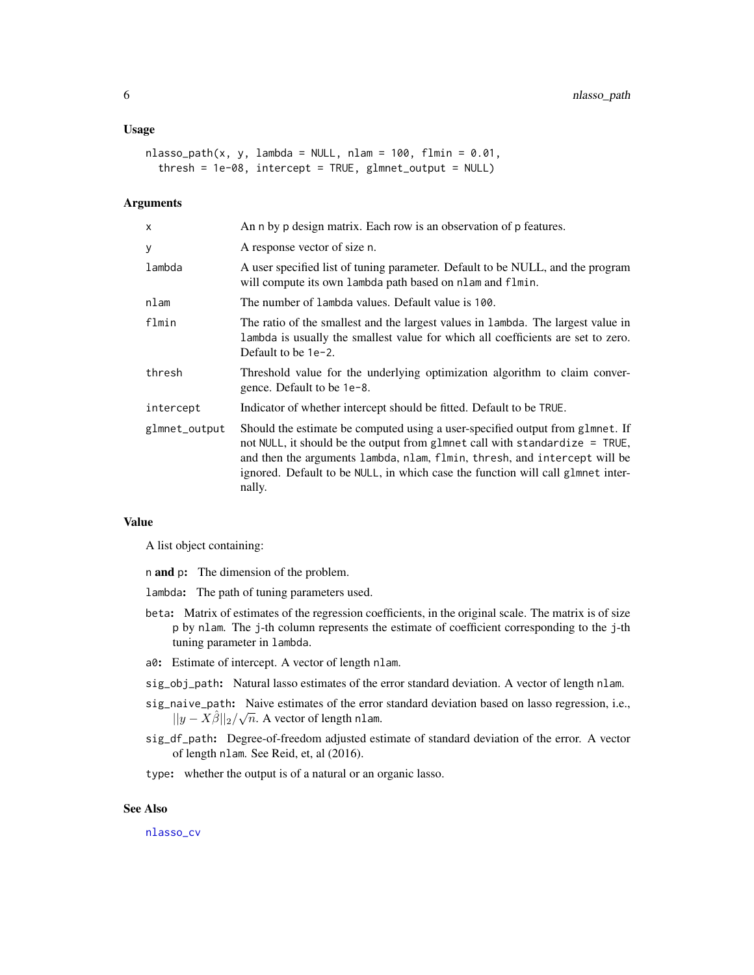#### <span id="page-5-0"></span>Usage

```
nlasso\_path(x, y, lambda = NULL, nlam = 100, film = 0.01,thresh = 1e-08, intercept = TRUE, glmnet_output = NULL)
```
# Arguments

| An n by p design matrix. Each row is an observation of p features.                                                                                                                                                                                                                                                                     |
|----------------------------------------------------------------------------------------------------------------------------------------------------------------------------------------------------------------------------------------------------------------------------------------------------------------------------------------|
| A response vector of size n.                                                                                                                                                                                                                                                                                                           |
| A user specified list of tuning parameter. Default to be NULL, and the program<br>will compute its own lambda path based on nlam and flmin.                                                                                                                                                                                            |
| The number of lambda values. Default value is 100.                                                                                                                                                                                                                                                                                     |
| The ratio of the smallest and the largest values in lambda. The largest value in<br>lambda is usually the smallest value for which all coefficients are set to zero.<br>Default to be $1e-2$ .                                                                                                                                         |
| Threshold value for the underlying optimization algorithm to claim conver-<br>gence. Default to be 1e-8.                                                                                                                                                                                                                               |
| Indicator of whether intercept should be fitted. Default to be TRUE.                                                                                                                                                                                                                                                                   |
| Should the estimate be computed using a user-specified output from glmnet. If<br>not NULL, it should be the output from glmnet call with standardize = TRUE,<br>and then the arguments lambda, nlam, flmin, thresh, and intercept will be<br>ignored. Default to be NULL, in which case the function will call glmnet inter-<br>nally. |
|                                                                                                                                                                                                                                                                                                                                        |

#### Value

A list object containing:

n and p: The dimension of the problem.

- lambda: The path of tuning parameters used.
- beta: Matrix of estimates of the regression coefficients, in the original scale. The matrix is of size p by nlam. The j-th column represents the estimate of coefficient corresponding to the j-th tuning parameter in lambda.
- a0: Estimate of intercept. A vector of length nlam.
- sig\_obj\_path: Natural lasso estimates of the error standard deviation. A vector of length nlam.
- sig\_naive\_path: Naive estimates of the error standard deviation based on lasso regression, i.e.,  $||y - X \hat{\beta}||_2 / \sqrt{n}$ . A vector of length nlam.
- sig\_df\_path: Degree-of-freedom adjusted estimate of standard deviation of the error. A vector of length nlam. See Reid, et, al (2016).
- type: whether the output is of a natural or an organic lasso.

#### See Also

[nlasso\\_cv](#page-3-1)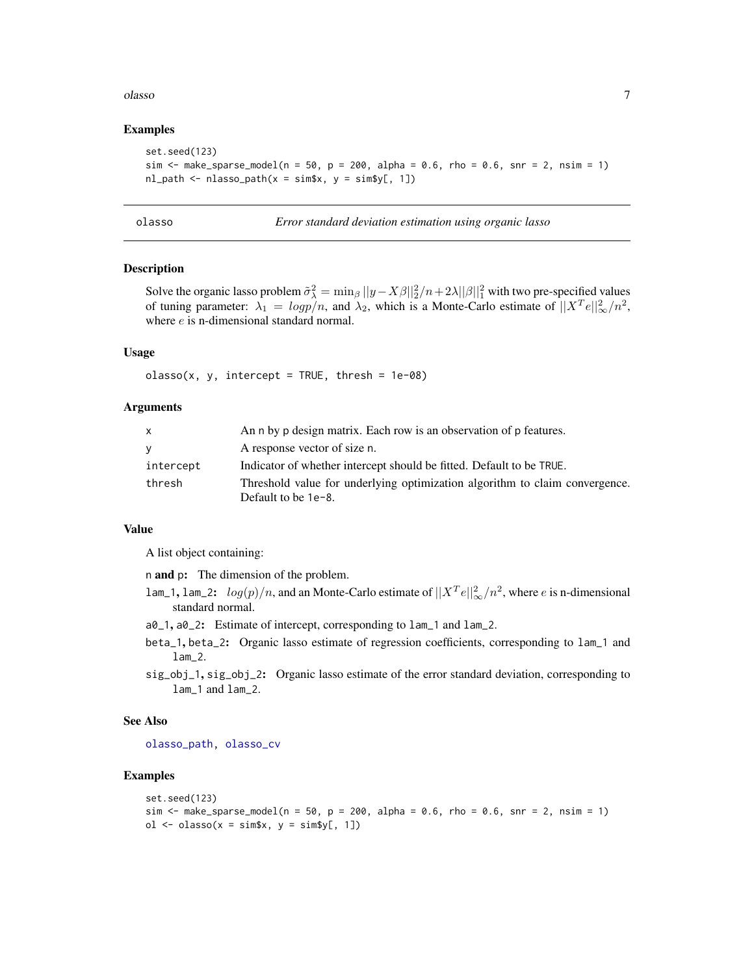#### <span id="page-6-0"></span>olasso 7

#### Examples

```
set.seed(123)
sim \le make_sparse_model(n = 50, p = 200, alpha = 0.6, rho = 0.6, snr = 2, nsim = 1)
nl<sub>-path</sub> \leq nlasso<sub>-path</sub>(x = \text{sim}\s, y = \text{sim}\sl, 1]
```
<span id="page-6-1"></span>

olasso *Error standard deviation estimation using organic lasso*

### Description

Solve the organic lasso problem  $\tilde{\sigma}_{\lambda}^2 = \min_{\beta} ||y - X\beta||_2^2/n + 2\lambda ||\beta||_1^2$  with two pre-specified values of tuning parameter:  $\lambda_1 = logp/n$ , and  $\lambda_2$ , which is a Monte-Carlo estimate of  $||X^T e||_{\infty}^2/n^2$ , where  $e$  is n-dimensional standard normal.

# Usage

 $classo(x, y, intercept = TRUE, thresh = 1e-08)$ 

#### **Arguments**

| X         | An n by p design matrix. Each row is an observation of p features.                                    |
|-----------|-------------------------------------------------------------------------------------------------------|
| V         | A response vector of size n.                                                                          |
| intercept | Indicator of whether intercept should be fitted. Default to be TRUE.                                  |
| thresh    | Threshold value for underlying optimization algorithm to claim convergence.<br>Default to be $1e-8$ . |

#### Value

A list object containing:

n and p: The dimension of the problem.

- lam\_1, lam\_2:  $log(p)/n$ , and an Monte-Carlo estimate of  $||X^T e||^2_{\infty}/n^2$ , where  $e$  is n-dimensional standard normal.
- a0\_1, a0\_2: Estimate of intercept, corresponding to lam\_1 and lam\_2.
- beta\_1, beta\_2: Organic lasso estimate of regression coefficients, corresponding to lam\_1 and lam\_2.
- sig\_obj\_1, sig\_obj\_2: Organic lasso estimate of the error standard deviation, corresponding to lam\_1 and lam\_2.

#### See Also

[olasso\\_path,](#page-8-1) [olasso\\_cv](#page-7-1)

#### Examples

```
set.seed(123)
sim <- make_sparse_model(n = 50, p = 200, alpha = 0.6, rho = 0.6, snr = 2, nsim = 1)
ol \le olasso(x = sim$x, y = sim$y[, 1])
```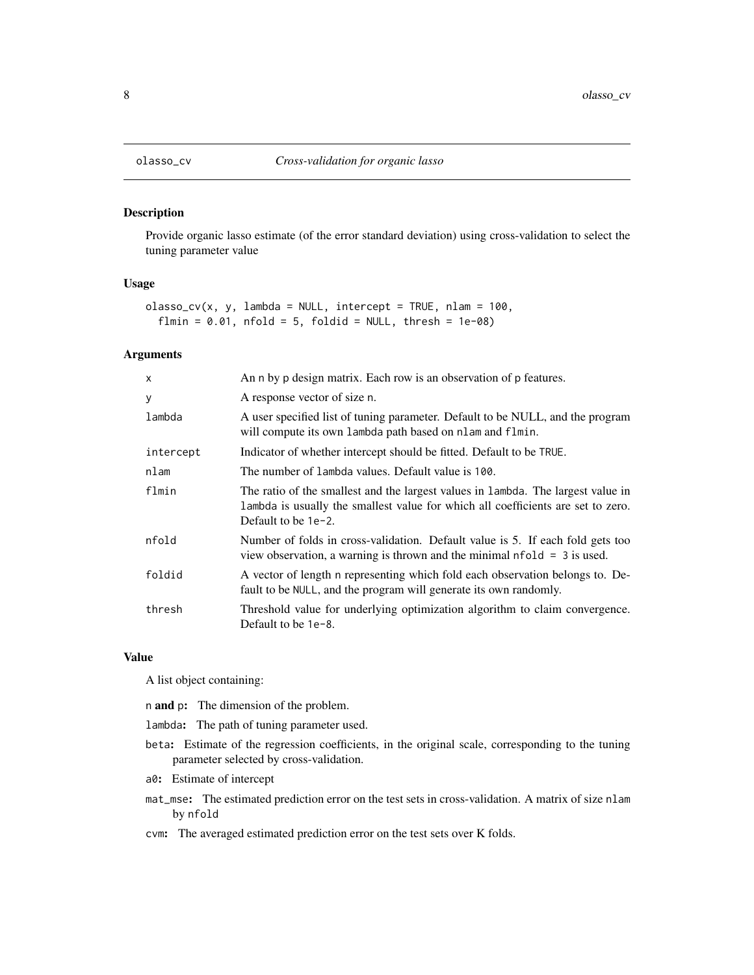<span id="page-7-1"></span><span id="page-7-0"></span>

#### Description

Provide organic lasso estimate (of the error standard deviation) using cross-validation to select the tuning parameter value

# Usage

```
classo_cv(x, y, lambda = NULL, intercept = TRUE, nlam = 100,flmin = 0.01, nfold = 5, foldid = NULL, thresh = 1e-08)
```
#### Arguments

| X         | An n by p design matrix. Each row is an observation of p features.                                                                                                                             |
|-----------|------------------------------------------------------------------------------------------------------------------------------------------------------------------------------------------------|
| У         | A response vector of size n.                                                                                                                                                                   |
| lambda    | A user specified list of tuning parameter. Default to be NULL, and the program<br>will compute its own lambda path based on nlam and flmin.                                                    |
| intercept | Indicator of whether intercept should be fitted. Default to be TRUE.                                                                                                                           |
| nlam      | The number of lambda values. Default value is 100.                                                                                                                                             |
| flmin     | The ratio of the smallest and the largest values in lambda. The largest value in<br>lambda is usually the smallest value for which all coefficients are set to zero.<br>Default to be $1e-2$ . |
| nfold     | Number of folds in cross-validation. Default value is 5. If each fold gets too<br>view observation, a warning is thrown and the minimal $nfold = 3$ is used.                                   |
| foldid    | A vector of length n representing which fold each observation belongs to. De-<br>fault to be NULL, and the program will generate its own randomly.                                             |
| thresh    | Threshold value for underlying optimization algorithm to claim convergence.<br>Default to be 1e-8.                                                                                             |

#### Value

A list object containing:

- n and p: The dimension of the problem.
- lambda: The path of tuning parameter used.
- beta: Estimate of the regression coefficients, in the original scale, corresponding to the tuning parameter selected by cross-validation.
- a0: Estimate of intercept
- mat\_mse: The estimated prediction error on the test sets in cross-validation. A matrix of size nlam by nfold
- cvm: The averaged estimated prediction error on the test sets over K folds.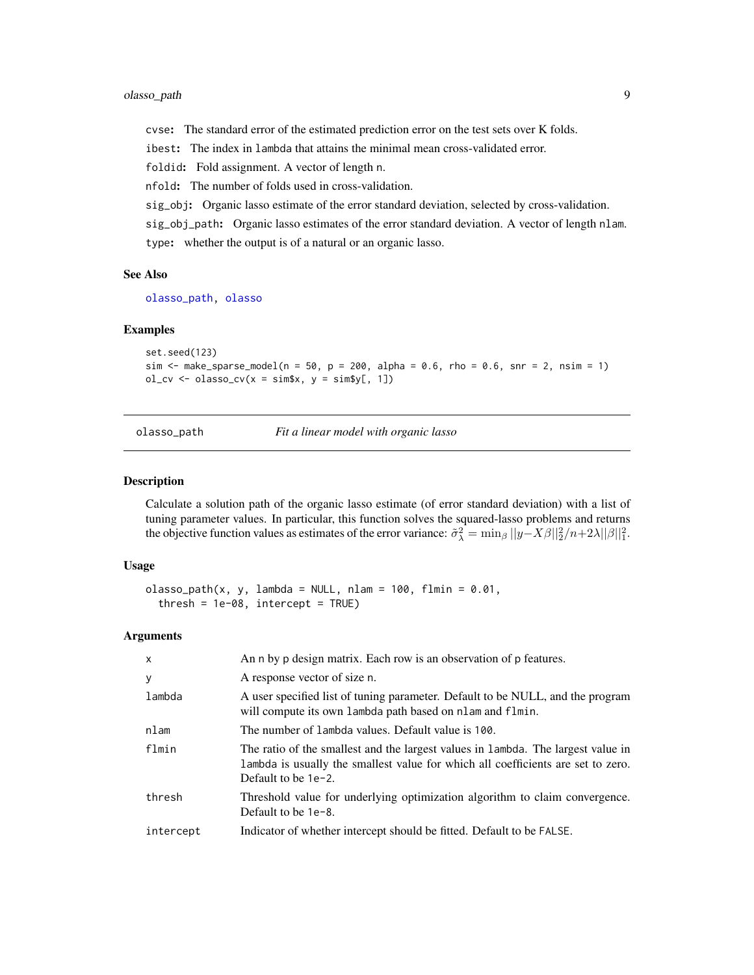# <span id="page-8-0"></span>olasso\_path 9

cvse: The standard error of the estimated prediction error on the test sets over K folds.

ibest: The index in lambda that attains the minimal mean cross-validated error.

foldid: Fold assignment. A vector of length n.

nfold: The number of folds used in cross-validation.

sig\_obj: Organic lasso estimate of the error standard deviation, selected by cross-validation.

sig\_obj\_path: Organic lasso estimates of the error standard deviation. A vector of length nlam.

type: whether the output is of a natural or an organic lasso.

#### See Also

[olasso\\_path,](#page-8-1) [olasso](#page-6-1)

#### Examples

set.seed(123) sim <- make\_sparse\_model(n = 50, p = 200, alpha = 0.6, rho = 0.6, snr = 2, nsim = 1)  $ol_c v \leftarrow olasso_c v(x = sim x, y = sim y[, 1])$ 

<span id="page-8-1"></span>

olasso\_path *Fit a linear model with organic lasso*

# **Description**

Calculate a solution path of the organic lasso estimate (of error standard deviation) with a list of tuning parameter values. In particular, this function solves the squared-lasso problems and returns the objective function values as estimates of the error variance:  $\tilde{\sigma}_{\lambda}^2 = \min_{\beta} ||y - X\beta||_2^2/n + 2\lambda ||\beta||_1^2$ .

#### Usage

```
olasso\_path(x, y, lambda = NULL, nlam = 100, film = 0.01,thresh = 1e-08, intercept = TRUE)
```

| x         | An n by p design matrix. Each row is an observation of p features.                                                                                                                             |
|-----------|------------------------------------------------------------------------------------------------------------------------------------------------------------------------------------------------|
| У         | A response vector of size n.                                                                                                                                                                   |
| lambda    | A user specified list of tuning parameter. Default to be NULL, and the program<br>will compute its own lambda path based on nlam and flmin.                                                    |
| nlam      | The number of lambda values. Default value is 100.                                                                                                                                             |
| flmin     | The ratio of the smallest and the largest values in lambda. The largest value in<br>lambda is usually the smallest value for which all coefficients are set to zero.<br>Default to be $1e-2$ . |
| thresh    | Threshold value for underlying optimization algorithm to claim convergence.<br>Default to be 1e-8.                                                                                             |
| intercept | Indicator of whether intercept should be fitted. Default to be FALSE.                                                                                                                          |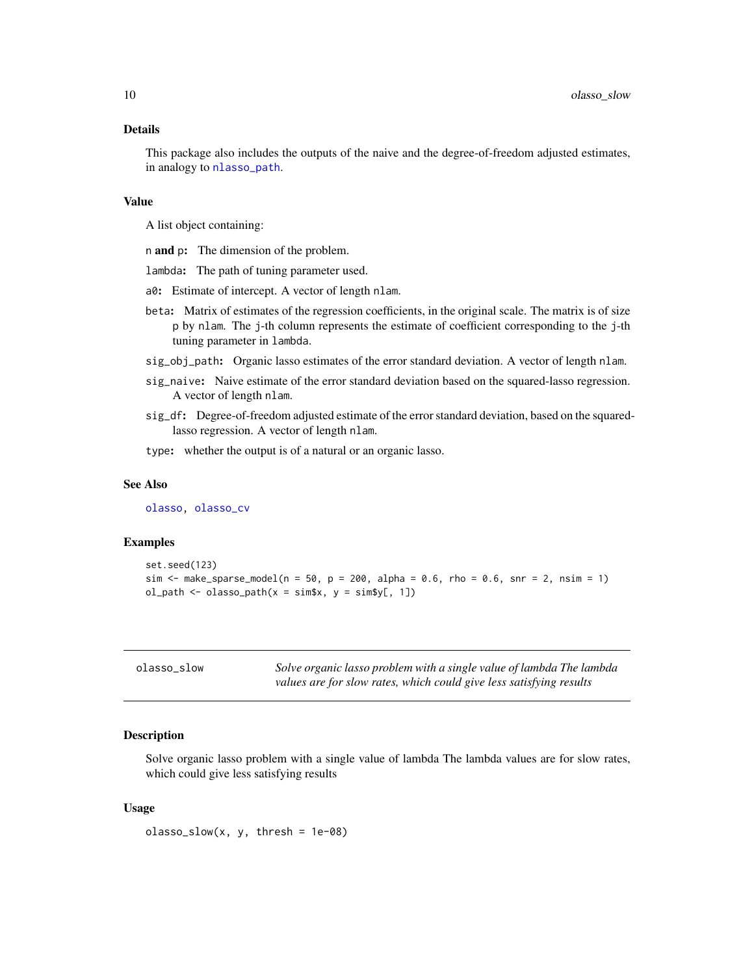#### <span id="page-9-0"></span>Details

This package also includes the outputs of the naive and the degree-of-freedom adjusted estimates, in analogy to [nlasso\\_path](#page-4-1).

#### Value

A list object containing:

- n and p: The dimension of the problem.
- lambda: The path of tuning parameter used.
- a0: Estimate of intercept. A vector of length nlam.
- beta: Matrix of estimates of the regression coefficients, in the original scale. The matrix is of size p by nlam. The j-th column represents the estimate of coefficient corresponding to the j-th tuning parameter in lambda.
- sig\_obj\_path: Organic lasso estimates of the error standard deviation. A vector of length nlam.
- sig\_naive: Naive estimate of the error standard deviation based on the squared-lasso regression. A vector of length nlam.
- sig\_df: Degree-of-freedom adjusted estimate of the error standard deviation, based on the squaredlasso regression. A vector of length nlam.
- type: whether the output is of a natural or an organic lasso.

#### See Also

[olasso,](#page-6-1) [olasso\\_cv](#page-7-1)

#### Examples

```
set.seed(123)
sim \le make_sparse_model(n = 50, p = 200, alpha = 0.6, rho = 0.6, snr = 2, nsim = 1)
ol<sub>-</sub>path <- olasso-path(x = sim$x, y = sim$y[, 1])
```

|  | olasso_slow |  |  |
|--|-------------|--|--|
|--|-------------|--|--|

Solve organic lasso problem with a single value of lambda The lambda *values are for slow rates, which could give less satisfying results*

#### Description

Solve organic lasso problem with a single value of lambda The lambda values are for slow rates, which could give less satisfying results

#### Usage

 $classo\_slow(x, y, thresh = 1e-08)$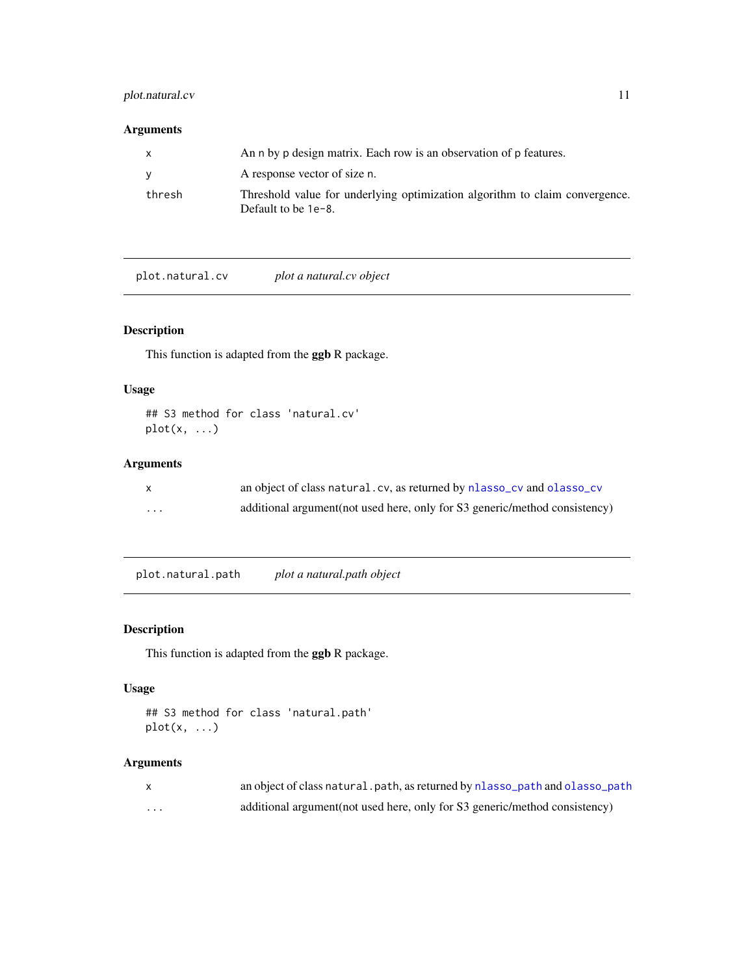# <span id="page-10-0"></span>plot.natural.cv 11

# Arguments

| $\mathsf{x}$ | An n by p design matrix. Each row is an observation of p features.                                    |
|--------------|-------------------------------------------------------------------------------------------------------|
| <b>y</b>     | A response vector of size n.                                                                          |
| thresh       | Threshold value for underlying optimization algorithm to claim convergence.<br>Default to be $1e-8$ . |

plot.natural.cv *plot a natural.cv object*

# Description

This function is adapted from the ggb R package.

# Usage

```
## S3 method for class 'natural.cv'
plot(x, \ldots)
```
# Arguments

|   | an object of class natural.cv, as returned by nlasso_cv and olasso_cv       |
|---|-----------------------------------------------------------------------------|
| . | additional argument (not used here, only for S3 generic/method consistency) |

plot.natural.path *plot a natural.path object*

# Description

This function is adapted from the ggb R package.

# Usage

```
## S3 method for class 'natural.path'
plot(x, ...)
```

|   | an object of class natural, path, as returned by nlasso_path and olasso_path |
|---|------------------------------------------------------------------------------|
| . | additional argument (not used here, only for S3 generic/method consistency)  |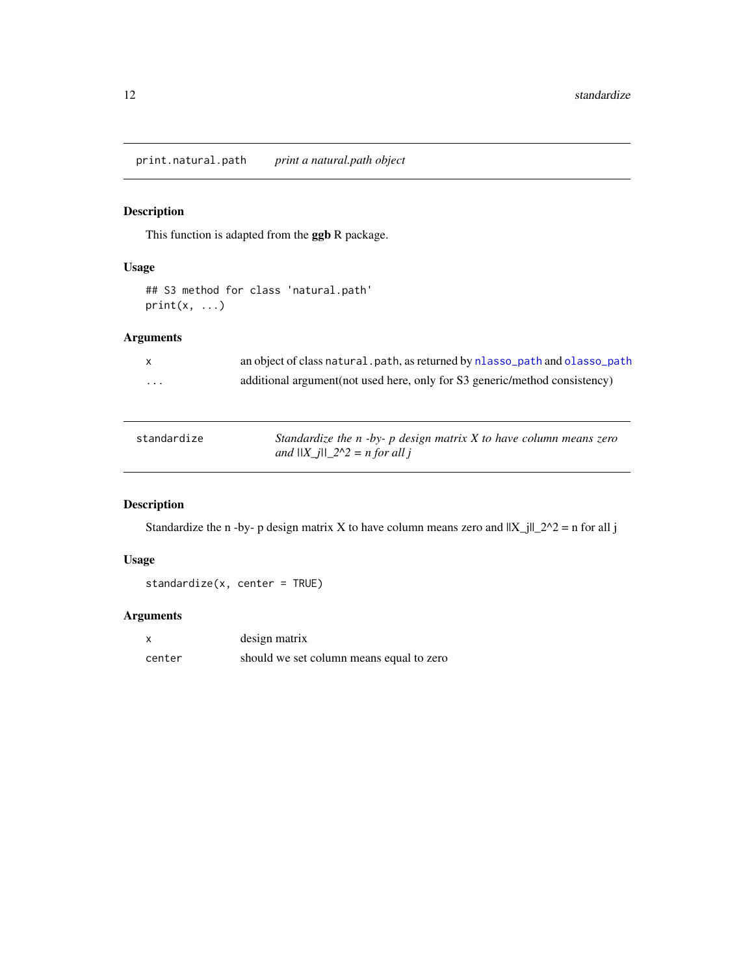# <span id="page-11-0"></span>Description

This function is adapted from the ggb R package.

# Usage

```
## S3 method for class 'natural.path'
print(x, \ldots)
```
# Arguments

|   | an object of class natural. path, as returned by nlasso_path and olasso_path |
|---|------------------------------------------------------------------------------|
| . | additional argument (not used here, only for S3 generic/method consistency)  |

| standardize | Standardize the $n - by$ - p design matrix X to have column means zero |
|-------------|------------------------------------------------------------------------|
|             | and $  X_j  _2^2 \ge n$ for all j                                      |

# Description

Standardize the n -by- p design matrix X to have column means zero and  $||X_j||_2^2$  = n for all j

# Usage

standardize(x, center = TRUE)

|        | design matrix                            |
|--------|------------------------------------------|
| center | should we set column means equal to zero |